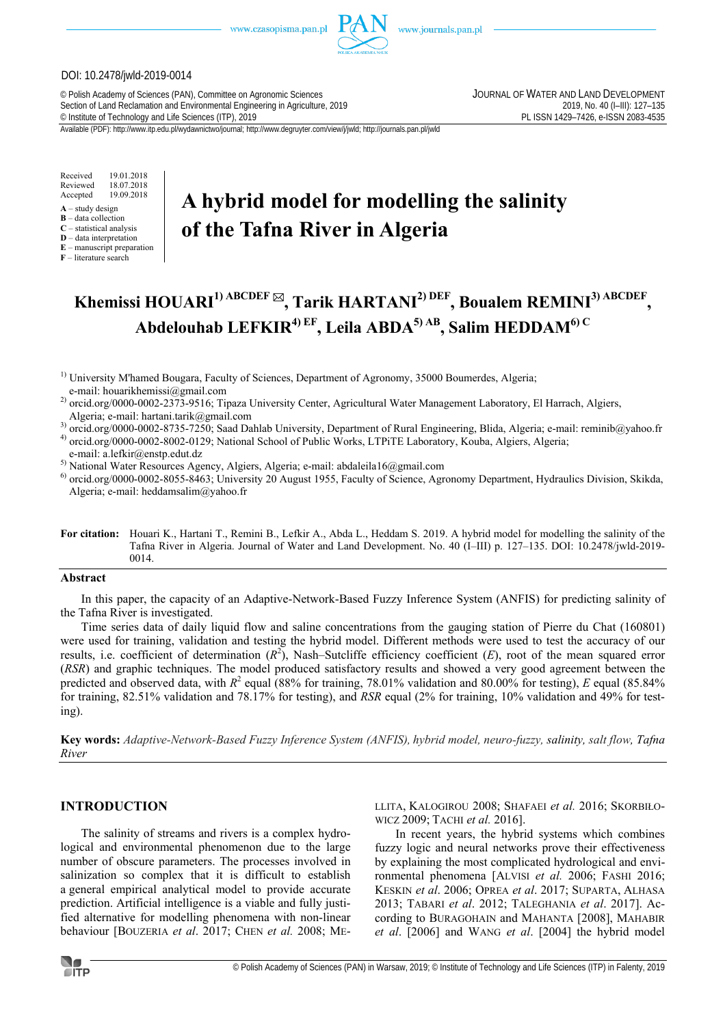

#### DOI: 10.2478/jwld-2019-0014

© Polish Academy of Sciences (PAN), Committee on Agronomic Sciences JOURNAL OF WATER AND LAND DEVELOPMENT Section of Land Reclamation and Environmental Engineering in Agriculture, 2019<br>
© Institute of Technology and Life Sciences (ITP), 2019<br>
2019, No. 40 (I–III): 127–135 2083-4535 الساحة PL ISSN 1429–7426, e-ISSN 2083-4535 <sup>©</sup> Institute of Technology and Life Sciences (ITP), 2019

Available (PDF): http://www.itp.edu.pl/wydawnictwo/journal; http://www.degruyter.com/view/j/jwld; http://journals.pan.pl/jwld

Received 19.01.2018 Reviewed 18.07.2018<br>Accepted 19.09.2018 Accepted 19.09.2018

- $A -$ study design
- **B** data collection
- **C** statistical analysis **D** – data interpretation
- **E** manuscript preparation

**F** – literature search

# **A hybrid model for modelling the salinity of the Tafna River in Algeria**

# **Khemissi HOUARI1) ABCDEF , Tarik HARTANI2) DEF, Boualem REMINI3) ABCDEF , Abdelouhab LEFKIR4) EF, Leila ABDA5) AB, Salim HEDDAM6) C**

<sup>1)</sup> University M'hamed Bougara, Faculty of Sciences, Department of Agronomy, 35000 Boumerdes, Algeria; e-mail: houarikhemissi@gmail.com

<sup>2)</sup> orcid.org/0000-0002-2373-9516; Tipaza University Center, Agricultural Water Management Laboratory, El Harrach, Algiers, Algeria; e-mail: hartani.tarik@gmail.com

<sup>3</sup>) orcid.org/0000-0002-8735-7250; Saad Dahlab University, Department of Rural Engineering, Blida, Algeria; e-mail: reminib@yahoo.fr

4) orcid.org/0000-0002-8002-0129; National School of Public Works, LTPiTE Laboratory, Kouba, Algiers, Algeria;

e-mail: a.lefkir@enstp.edut.dz

5) National Water Resources Agency, Algiers, Algeria; e-mail: abdaleila16@gmail.com

 $^{6}$  orcid.org/0000-0002-8055-8463; University 20 August 1955, Faculty of Science, Agronomy Department, Hydraulics Division, Skikda, Algeria; e-mail: heddamsalim@yahoo.fr

**For citation:** Houari K., Hartani T., Remini B., Lefkir A., Abda L., Heddam S. 2019. A hybrid model for modelling the salinity of the Tafna River in Algeria. Journal of Water and Land Development. No. 40 (I–III) p. 127–135. DOI: 10.2478/jwld-2019- 0014.

## **Abstract**

In this paper, the capacity of an Adaptive-Network-Based Fuzzy Inference System (ANFIS) for predicting salinity of the Tafna River is investigated.

Time series data of daily liquid flow and saline concentrations from the gauging station of Pierre du Chat (160801) were used for training, validation and testing the hybrid model. Different methods were used to test the accuracy of our results, i.e. coefficient of determination  $(R^2)$ , Nash–Sutcliffe efficiency coefficient  $(E)$ , root of the mean squared error (*RSR*) and graphic techniques. The model produced satisfactory results and showed a very good agreement between the predicted and observed data, with  $R^2$  equal (88% for training, 78.01% validation and 80.00% for testing), *E* equal (85.84% for training, 82.51% validation and 78.17% for testing), and *RSR* equal (2% for training, 10% validation and 49% for testing).

**Key words:** *Adaptive-Network-Based Fuzzy Inference System (ANFIS), hybrid model, neuro-fuzzy, salinity, salt flow, Tafna River* 

# **INTRODUCTION**

The salinity of streams and rivers is a complex hydrological and environmental phenomenon due to the large number of obscure parameters. The processes involved in salinization so complex that it is difficult to establish a general empirical analytical model to provide accurate prediction. Artificial intelligence is a viable and fully justified alternative for modelling phenomena with non-linear behaviour [BOUZERIA *et al*. 2017; CHEN *et al.* 2008; ME-

LLITA, KALOGIROU 2008; SHAFAEI *et al.* 2016; SKORBIŁO-WICZ 2009; TACHI *et al.* 2016].

In recent years, the hybrid systems which combines fuzzy logic and neural networks prove their effectiveness by explaining the most complicated hydrological and environmental phenomena [ALVISI *et al.* 2006; FASHI 2016; KESKIN *et al*. 2006; OPREA *et al*. 2017; SUPARTA, ALHASA 2013; TABARI *et al*. 2012; TALEGHANIA *et al*. 2017]. According to BURAGOHAIN and MAHANTA [2008], MAHABIR *et al*. [2006] and WANG *et al*. [2004] the hybrid model

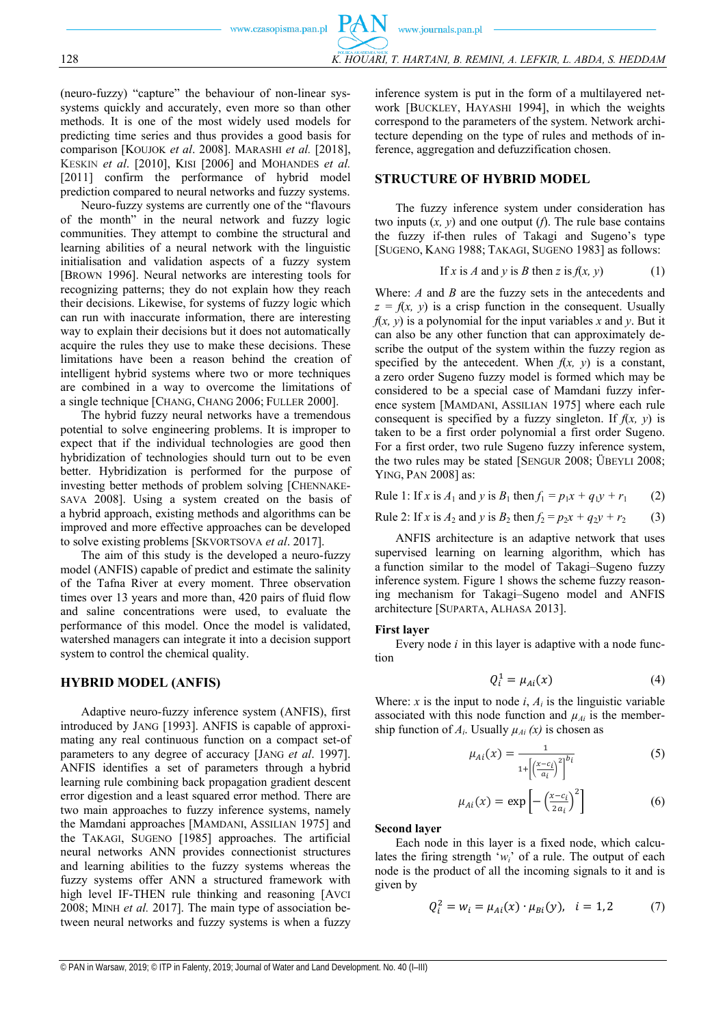(neuro-fuzzy) "capture" the behaviour of non-linear syssystems quickly and accurately, even more so than other methods. It is one of the most widely used models for predicting time series and thus provides a good basis for comparison [KOUJOK *et al*. 2008]. MARASHI *et al.* [2018], KESKIN *et al*. [2010], KISI [2006] and MOHANDES *et al.* [2011] confirm the performance of hybrid model prediction compared to neural networks and fuzzy systems.

Neuro-fuzzy systems are currently one of the "flavours of the month" in the neural network and fuzzy logic communities. They attempt to combine the structural and learning abilities of a neural network with the linguistic initialisation and validation aspects of a fuzzy system [BROWN 1996]. Neural networks are interesting tools for recognizing patterns; they do not explain how they reach their decisions. Likewise, for systems of fuzzy logic which can run with inaccurate information, there are interesting way to explain their decisions but it does not automatically acquire the rules they use to make these decisions. These limitations have been a reason behind the creation of intelligent hybrid systems where two or more techniques are combined in a way to overcome the limitations of a single technique [CHANG, CHANG 2006; FULLER 2000].

The hybrid fuzzy neural networks have a tremendous potential to solve engineering problems. It is improper to expect that if the individual technologies are good then hybridization of technologies should turn out to be even better. Hybridization is performed for the purpose of investing better methods of problem solving [CHENNAKE-SAVA 2008]. Using a system created on the basis of a hybrid approach, existing methods and algorithms can be improved and more effective approaches can be developed to solve existing problems [SKVORTSOVA *et al*. 2017].

The aim of this study is the developed a neuro-fuzzy model (ANFIS) capable of predict and estimate the salinity of the Tafna River at every moment. Three observation times over 13 years and more than, 420 pairs of fluid flow and saline concentrations were used, to evaluate the performance of this model. Once the model is validated, watershed managers can integrate it into a decision support system to control the chemical quality.

#### **HYBRID MODEL (ANFIS)**

Adaptive neuro-fuzzy inference system (ANFIS), first introduced by JANG [1993]. ANFIS is capable of approximating any real continuous function on a compact set-of parameters to any degree of accuracy [JANG *et al*. 1997]. ANFIS identifies a set of parameters through a hybrid learning rule combining back propagation gradient descent error digestion and a least squared error method. There are two main approaches to fuzzy inference systems, namely the Mamdani approaches [MAMDANI, ASSILIAN 1975] and the TAKAGI, SUGENO [1985] approaches. The artificial neural networks ANN provides connectionist structures and learning abilities to the fuzzy systems whereas the fuzzy systems offer ANN a structured framework with high level IF-THEN rule thinking and reasoning [AVCI 2008; MINH *et al.* 2017]. The main type of association between neural networks and fuzzy systems is when a fuzzy

inference system is put in the form of a multilayered network [BUCKLEY, HAYASHI 1994], in which the weights correspond to the parameters of the system. Network architecture depending on the type of rules and methods of inference, aggregation and defuzzification chosen.

#### **STRUCTURE OF HYBRID MODEL**

The fuzzy inference system under consideration has two inputs  $(x, y)$  and one output  $(f)$ . The rule base contains the fuzzy if-then rules of Takagi and Sugeno's type [SUGENO, KANG 1988; TAKAGI, SUGENO 1983] as follows:

If x is A and y is B then z is 
$$
f(x, y)
$$
 (1)

Where: *A* and *B* are the fuzzy sets in the antecedents and  $z = f(x, y)$  is a crisp function in the consequent. Usually  $f(x, y)$  is a polynomial for the input variables  $\overline{x}$  and  $\overline{y}$ . But it can also be any other function that can approximately describe the output of the system within the fuzzy region as specified by the antecedent. When  $f(x, y)$  is a constant, a zero order Sugeno fuzzy model is formed which may be considered to be a special case of Mamdani fuzzy inference system [MAMDANI, ASSILIAN 1975] where each rule consequent is specified by a fuzzy singleton. If *f*(*x, y*) is taken to be a first order polynomial a first order Sugeno. For a first order, two rule Sugeno fuzzy inference system, the two rules may be stated [SENGUR 2008; ÜBEYLI 2008; YING, PAN 2008] as:

Rule 1: If *x* is  $A_1$  and *y* is  $B_1$  then  $f_1 = p_1 x + q_1 y + r_1$  (2)

Rule 2: If *x* is  $A_2$  and *y* is  $B_2$  then  $f_2 = p_2 x + q_2 y + r_2$  (3)

ANFIS architecture is an adaptive network that uses supervised learning on learning algorithm, which has a function similar to the model of Takagi–Sugeno fuzzy inference system. Figure 1 shows the scheme fuzzy reasoning mechanism for Takagi–Sugeno model and ANFIS architecture [SUPARTA, ALHASA 2013].

#### **First layer**

Every node *i* in this layer is adaptive with a node function

$$
Q_i^1 = \mu_{Ai}(x) \tag{4}
$$

Where: *x* is the input to node  $i$ ,  $A_i$  is the linguistic variable associated with this node function and  $\mu_{Ai}$  is the membership function of  $A_i$ . Usually  $\mu_{Ai}(x)$  is chosen as

$$
\mu_{Ai}(x) = \frac{1}{1 + \left| \left( \frac{x - c_i}{a_i} \right)^2 \right|^{b_i}} \tag{5}
$$

$$
\mu_{Ai}(x) = \exp\left[-\left(\frac{x - c_i}{2a_i}\right)^2\right] \tag{6}
$$

#### **Second layer**

Each node in this layer is a fixed node, which calculates the firing strength '*wi*' of a rule. The output of each node is the product of all the incoming signals to it and is given by

$$
Q_i^2 = w_i = \mu_{Ai}(x) \cdot \mu_{Bi}(y), \quad i = 1, 2 \tag{7}
$$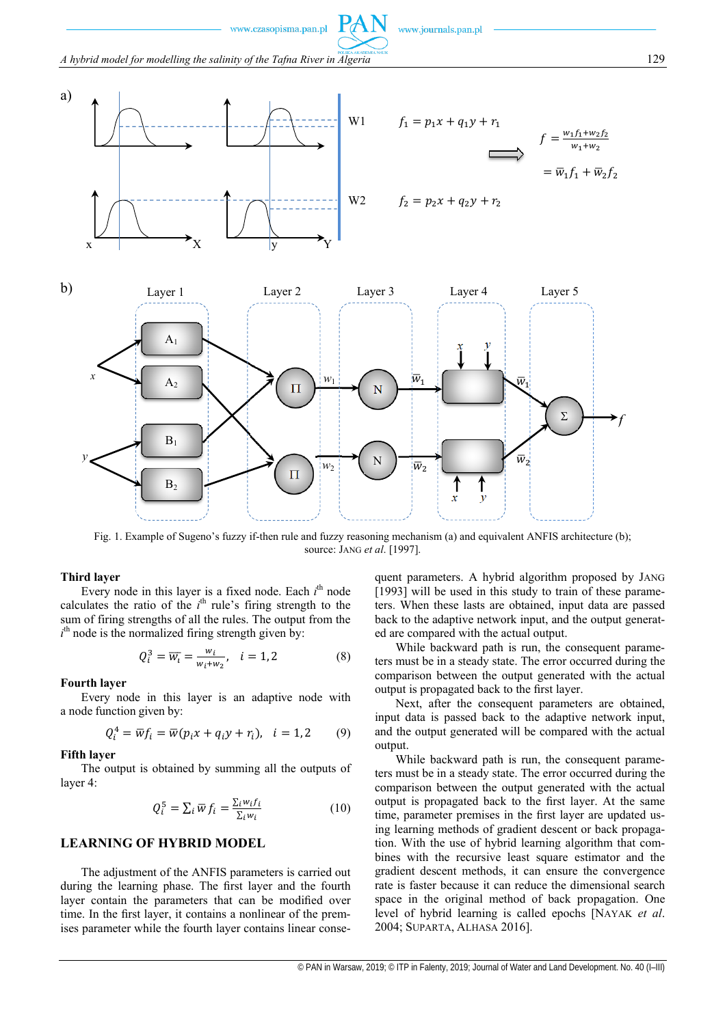www.journals.pan.pl

*A hybrid model for modelling the salinity of the Tafna River in Algeria* **129 129** 

www.czasopisma.pan.pl





Fig. 1. Example of Sugeno's fuzzy if-then rule and fuzzy reasoning mechanism (a) and equivalent ANFIS architecture (b); source: JANG *et al*. [1997].

#### **Third layer**

Every node in this layer is a fixed node. Each *i*<sup>th</sup> node calculates the ratio of the *i*<sup>th</sup> rule's firing strength to the sum of firing strengths of all the rules. The output from the  $i<sup>th</sup>$  node is the normalized firing strength given by:

$$
Q_i^3 = \overline{w_i} = \frac{w_i}{w_i + w_2}, \quad i = 1, 2 \tag{8}
$$

#### **Fourth layer**

Every node in this layer is an adaptive node with a node function given by:

$$
Q_i^4 = \overline{w}f_i = \overline{w}(p_ix + q_iy + r_i), \quad i = 1, 2 \tag{9}
$$

#### **Fifth layer**

The output is obtained by summing all the outputs of layer 4:

$$
Q_i^5 = \sum_i \overline{w} f_i = \frac{\sum_i w_i f_i}{\sum_i w_i}
$$
 (10)

## **LEARNING OF HYBRID MODEL**

The adjustment of the ANFIS parameters is carried out during the learning phase. The first layer and the fourth layer contain the parameters that can be modified over time. In the first layer, it contains a nonlinear of the premises parameter while the fourth layer contains linear consequent parameters. A hybrid algorithm proposed by JANG [1993] will be used in this study to train of these parameters. When these lasts are obtained, input data are passed back to the adaptive network input, and the output generated are compared with the actual output.

While backward path is run, the consequent parameters must be in a steady state. The error occurred during the comparison between the output generated with the actual output is propagated back to the first layer.

Next, after the consequent parameters are obtained, input data is passed back to the adaptive network input, and the output generated will be compared with the actual output.

While backward path is run, the consequent parameters must be in a steady state. The error occurred during the comparison between the output generated with the actual output is propagated back to the first layer. At the same time, parameter premises in the first layer are updated using learning methods of gradient descent or back propagation. With the use of hybrid learning algorithm that combines with the recursive least square estimator and the gradient descent methods, it can ensure the convergence rate is faster because it can reduce the dimensional search space in the original method of back propagation. One level of hybrid learning is called epochs [NAYAK *et al*. 2004; SUPARTA, ALHASA 2016].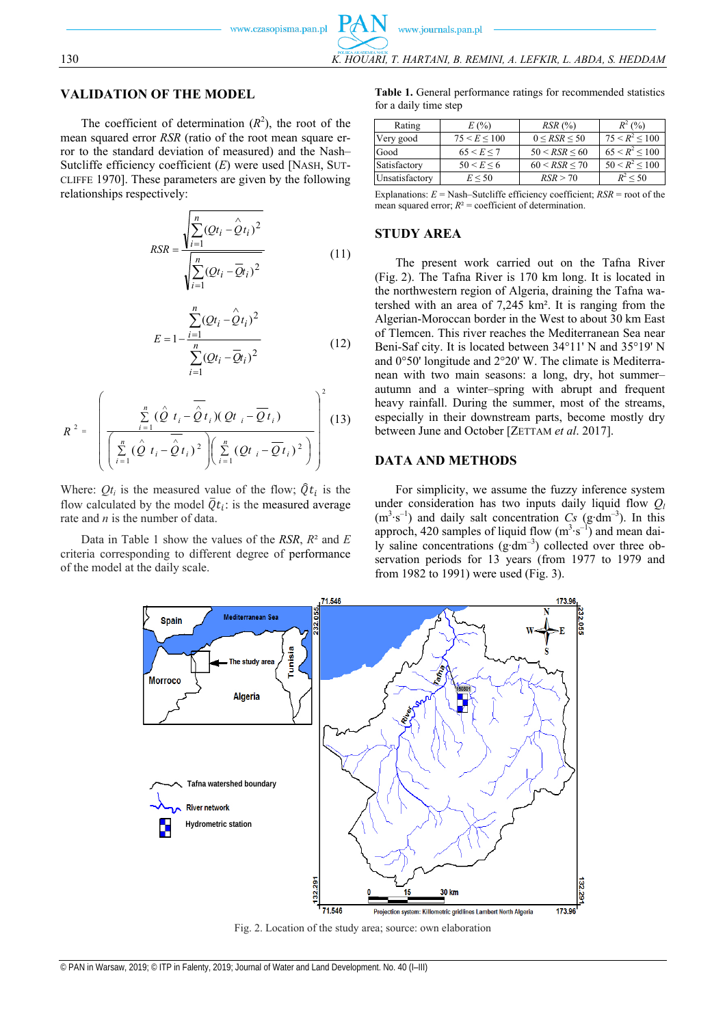The coefficient of determination  $(R^2)$ , the root of the mean squared error *RSR* (ratio of the root mean square error to the standard deviation of measured) and the Nash– Sutcliffe efficiency coefficient (*E*) were used [NASH, SUT-CLIFFE 1970]. These parameters are given by the following relationships respectively:

$$
RSR = \frac{\sqrt{\sum_{i=1}^{n} (Qt_i - \hat{Q}t_i)^2}}{\sqrt{\sum_{i=1}^{n} (Qt_i - \bar{Q}t_i)^2}}
$$
(11)

$$
E = 1 - \frac{\sum_{i=1}^{n} (Qt_i - \hat{Q}t_i)^2}{\sum_{i=1}^{n} (Qt_i - \bar{Q}t_i)^2}
$$
(12)

$$
R^{2} = \left(\frac{\sum_{i=1}^{n} (\hat{Q} t_i - \overline{\hat{Q} t_i}) (Q t_i - \overline{Q t_i})}{\left(\sum_{i=1}^{n} (\hat{Q} t_i - \overline{\hat{Q} t_i})^{2}\right) \left(\sum_{i=1}^{n} (Q t_i - \overline{Q t_i})^{2}\right)}\right)^{2}
$$
(13)

Where:  $Qt_i$  is the measured value of the flow;  $\hat{Q}t_i$  is the flow calculated by the model  $\overline{Q}t_i$ : is the measured average rate and *n* is the number of data.

Data in Table 1 show the values of the *RSR*, *R*² and *E* criteria corresponding to different degree of performance of the model at the daily scale.

**Table 1.** General performance ratings for recommended statistics for a daily time step

| Rating         | E(%)             | $RSR$ $(*)$      | $R^2(96)$              |
|----------------|------------------|------------------|------------------------|
| Very good      | 75 < E < 100     | $0 <$ RSR $<$ 50 | $75 < R^2 < 100$       |
| Good           | $65 \le E \le 7$ | 50 < RSR < 60    | $65 \leq R^2 \leq 100$ |
| Satisfactory   | 50 < E < 6       | 60 < RSR < 70    | $50 < R^2 < 100$       |
| Unsatisfactory | $E \le 50$       | RSR > 70         | $R^2$ < 50             |
|                |                  |                  |                        |

Explanations:  $E =$  Nash–Sutcliffe efficiency coefficient;  $RSR =$  root of the mean squared error;  $R^2$  = coefficient of determination.

# **STUDY AREA**

The present work carried out on the Tafna River (Fig. 2). The Tafna River is 170 km long. It is located in the northwestern region of Algeria, draining the Tafna watershed with an area of 7,245 km². It is ranging from the Algerian-Moroccan border in the West to about 30 km East of Tlemcen. This river reaches the Mediterranean Sea near Beni-Saf city. It is located between 34°11' N and 35°19' N and 0°50' longitude and 2°20' W. The climate is Mediterranean with two main seasons: a long, dry, hot summer– autumn and a winter–spring with abrupt and frequent heavy rainfall. During the summer, most of the streams, especially in their downstream parts, become mostly dry between June and October [ZETTAM *et al*. 2017].

## **DATA AND METHODS**

For simplicity, we assume the fuzzy inference system under consideration has two inputs daily liquid flow  $Q_l$ (m3 ∙s–1) and daily salt concentration *Cs* (g∙dm–3). In this approch, 420 samples of liquid flow  $(m^3 \cdot s^{-1})$  and mean daily saline concentrations (g∙dm–3) collected over three observation periods for 13 years (from 1977 to 1979 and from 1982 to 1991) were used (Fig. 3).



Fig. 2. Location of the study area; source: own elaboration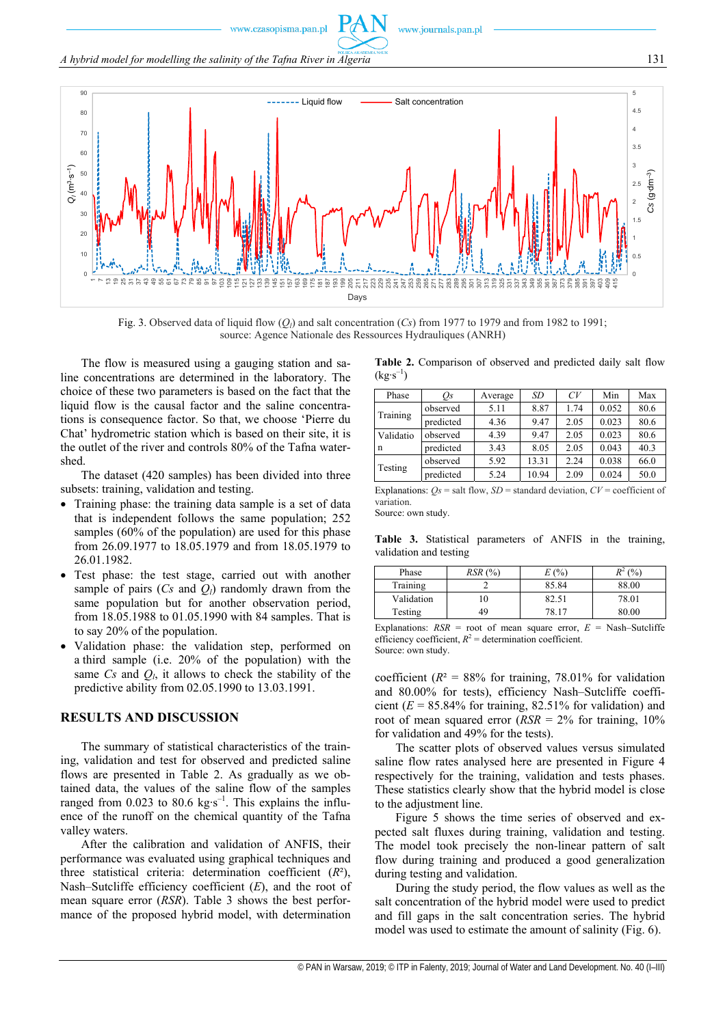www.journals.pan.pl

*A hybrid model for modelling the salinity of the Tafna River in Algeria* 131



Fig. 3. Observed data of liquid flow  $(Q_l)$  and salt concentration  $(Cs)$  from 1977 to 1979 and from 1982 to 1991; source: Agence Nationale des Ressources Hydrauliques (ANRH)

The flow is measured using a gauging station and saline concentrations are determined in the laboratory. The choice of these two parameters is based on the fact that the liquid flow is the causal factor and the saline concentrations is consequence factor. So that, we choose 'Pierre du Chat' hydrometric station which is based on their site, it is the outlet of the river and controls 80% of the Tafna watershed.

The dataset (420 samples) has been divided into three subsets: training, validation and testing.

- Training phase: the training data sample is a set of data that is independent follows the same population; 252 samples (60% of the population) are used for this phase from 26.09.1977 to 18.05.1979 and from 18.05.1979 to 26.01.1982.
- Test phase: the test stage, carried out with another sample of pairs  $(Cs \text{ and } Q_l)$  randomly drawn from the same population but for another observation period, from 18.05.1988 to 01.05.1990 with 84 samples. That is to say 20% of the population.
- Validation phase: the validation step, performed on a third sample (i.e. 20% of the population) with the same  $Cs$  and  $Q<sub>l</sub>$ , it allows to check the stability of the predictive ability from 02.05.1990 to 13.03.1991.

# **RESULTS AND DISCUSSION**

The summary of statistical characteristics of the training, validation and test for observed and predicted saline flows are presented in Table 2. As gradually as we obtained data, the values of the saline flow of the samples ranged from 0.023 to 80.6 kg⋅s<sup>-1</sup>. This explains the influence of the runoff on the chemical quantity of the Tafna valley waters.

After the calibration and validation of ANFIS, their performance was evaluated using graphical techniques and three statistical criteria: determination coefficient (*R*²), Nash–Sutcliffe efficiency coefficient (*E*), and the root of mean square error (*RSR*). Table 3 shows the best performance of the proposed hybrid model, with determination

**Table 2.** Comparison of observed and predicted daily salt flow  $(kg·s^{-1})$ 

| Phase          | Os        | Average | SD    | CV   | Min   | Max  |
|----------------|-----------|---------|-------|------|-------|------|
| Training       | observed  | 5.11    | 8.87  | 1.74 | 0.052 | 80.6 |
|                | predicted | 4.36    | 9.47  | 2.05 | 0.023 | 80.6 |
| Validatio<br>n | observed  | 4.39    | 9.47  | 2.05 | 0.023 | 80.6 |
|                | predicted | 3.43    | 8.05  | 2.05 | 0.043 | 40.3 |
| Testing        | observed  | 5.92    | 13.31 | 2.24 | 0.038 | 66.0 |
|                | predicted | 5.24    | 10.94 | 2.09 | 0.024 | 50.0 |

Explanations:  $Q_s$  = salt flow,  $SD$  = standard deviation,  $CV$  = coefficient of variation.

Source: own study.

**Table 3.** Statistical parameters of ANFIS in the training, validation and testing

| Phase      | RSR (%) | (96)  | (9/0) |
|------------|---------|-------|-------|
| Training   |         | 85.84 | 88.00 |
| Validation | l O     | 82.51 | 78.01 |
| Testing    | 49      | 78.17 | 80.00 |
|            |         |       |       |

Explanations:  $RSR =$  root of mean square error,  $E =$  Nash–Sutcliffe efficiency coefficient,  $R^2$  = determination coefficient. Source: own study.

coefficient ( $R$ <sup>2</sup> = 88% for training, 78.01% for validation and 80.00% for tests), efficiency Nash–Sutcliffe coefficient  $(E = 85.84\%$  for training, 82.51% for validation) and root of mean squared error (*RSR* = 2% for training, 10% for validation and 49% for the tests).

The scatter plots of observed values versus simulated saline flow rates analysed here are presented in Figure 4 respectively for the training, validation and tests phases. These statistics clearly show that the hybrid model is close to the adjustment line.

Figure 5 shows the time series of observed and expected salt fluxes during training, validation and testing. The model took precisely the non-linear pattern of salt flow during training and produced a good generalization during testing and validation.

During the study period, the flow values as well as the salt concentration of the hybrid model were used to predict and fill gaps in the salt concentration series. The hybrid model was used to estimate the amount of salinity (Fig. 6).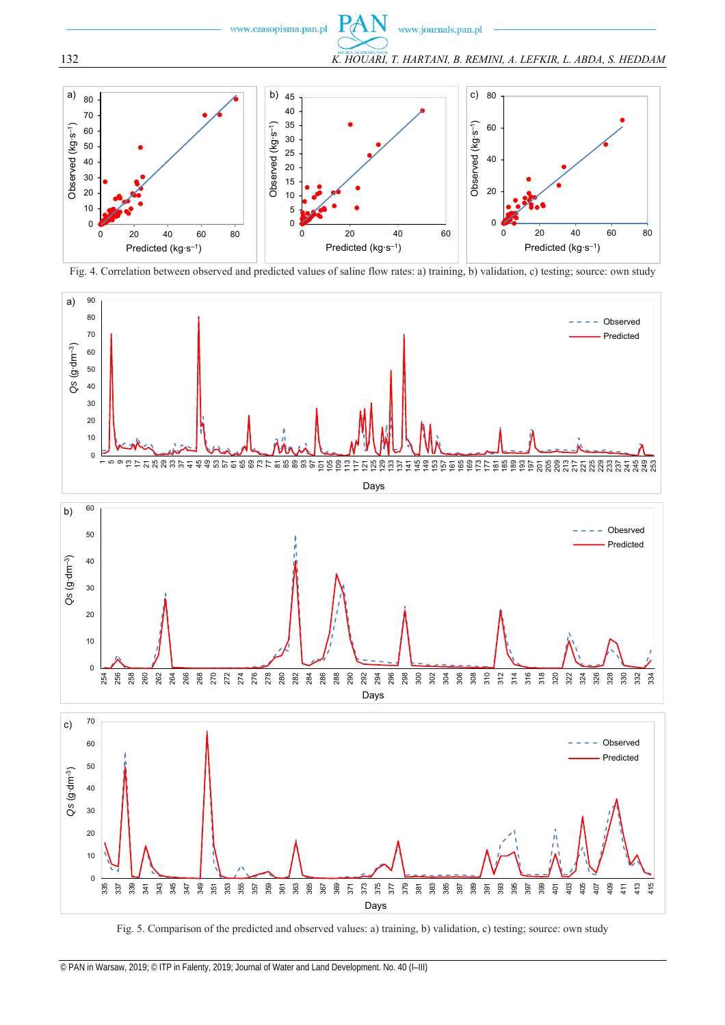



Fig. 4. Correlation between observed and predicted values of saline flow rates: a) training, b) validation, c) testing; source: own study



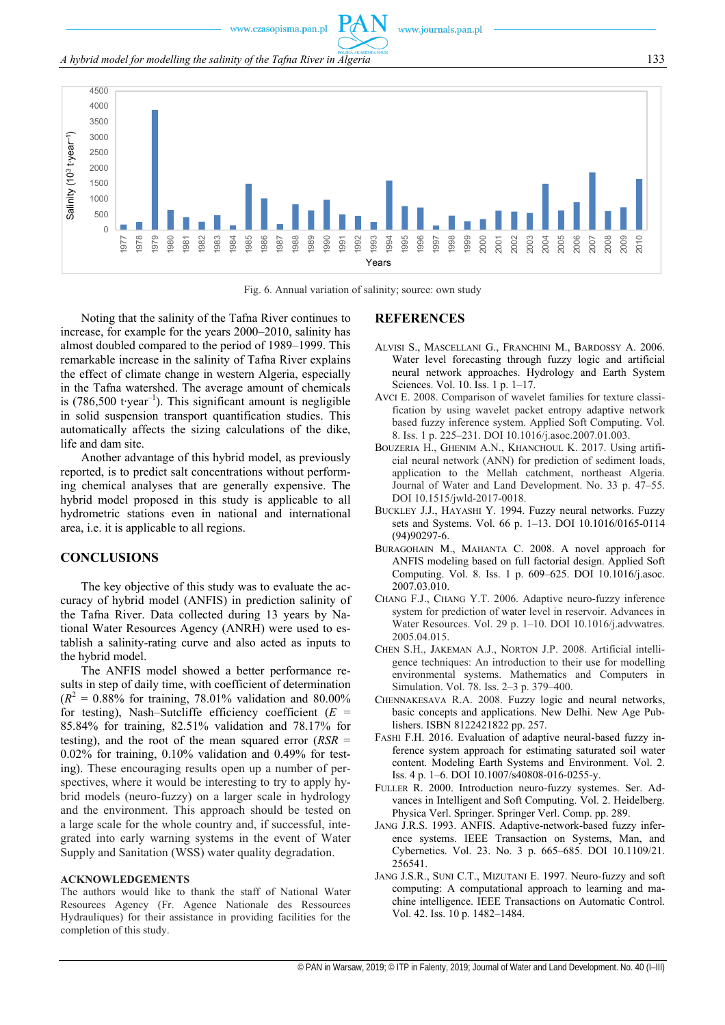www.journals.pan.pl

*A hybrid model for modelling the salinity of the Tafna River in Algeria* 133



Fig. 6. Annual variation of salinity; source: own study

Noting that the salinity of the Tafna River continues to increase, for example for the years 2000–2010, salinity has almost doubled compared to the period of 1989–1999. This remarkable increase in the salinity of Tafna River explains the effect of climate change in western Algeria, especially in the Tafna watershed. The average amount of chemicals is (786,500 t∙year–1). This significant amount is negligible in solid suspension transport quantification studies. This automatically affects the sizing calculations of the dike, life and dam site.

Another advantage of this hybrid model, as previously reported, is to predict salt concentrations without performing chemical analyses that are generally expensive. The hybrid model proposed in this study is applicable to all hydrometric stations even in national and international area, i.e. it is applicable to all regions.

## **CONCLUSIONS**

The key objective of this study was to evaluate the accuracy of hybrid model (ANFIS) in prediction salinity of the Tafna River. Data collected during 13 years by National Water Resources Agency (ANRH) were used to establish a salinity-rating curve and also acted as inputs to the hybrid model.

The ANFIS model showed a better performance results in step of daily time, with coefficient of determination  $(R^2 = 0.88\%$  for training, 78.01% validation and 80.00% for testing), Nash–Sutcliffe efficiency coefficient  $(E =$ 85.84% for training, 82.51% validation and 78.17% for testing), and the root of the mean squared error (*RSR* = 0.02% for training, 0.10% validation and 0.49% for testing). These encouraging results open up a number of perspectives, where it would be interesting to try to apply hybrid models (neuro-fuzzy) on a larger scale in hydrology and the environment. This approach should be tested on a large scale for the whole country and, if successful, integrated into early warning systems in the event of Water Supply and Sanitation (WSS) water quality degradation.

#### **ACKNOWLEDGEMENTS**

The authors would like to thank the staff of National Water Resources Agency (Fr. Agence Nationale des Ressources Hydrauliques) for their assistance in providing facilities for the completion of this study.

#### **REFERENCES**

- ALVISI S., MASCELLANI G., FRANCHINI M., BARDOSSY A. 2006. Water level forecasting through fuzzy logic and artificial neural network approaches. Hydrology and Earth System Sciences. Vol. 10. Iss. 1 p. 1–17.
- AVCI E. 2008. Comparison of wavelet families for texture classification by using wavelet packet entropy adaptive network based fuzzy inference system. Applied Soft Computing. Vol. 8. Iss. 1 p. 225–231. DOI 10.1016/j.asoc.2007.01.003.
- BOUZERIA H., GHENIM A.N., KHANCHOUL K. 2017. Using artificial neural network (ANN) for prediction of sediment loads, application to the Mellah catchment, northeast Algeria. Journal of Water and Land Development. No. 33 p. 47–55. DOI 10.1515/jwld-2017-0018.
- BUCKLEY J.J., HAYASHI Y. 1994. Fuzzy neural networks. Fuzzy sets and Systems. Vol. 66 p. 1–13. DOI 10.1016/0165-0114 (94)90297-6.
- BURAGOHAIN M., MAHANTA C. 2008. A novel approach for ANFIS modeling based on full factorial design. Applied Soft Computing. Vol. 8. Iss. 1 p. 609–625. DOI 10.1016/j.asoc. 2007.03.010.
- CHANG F.J., CHANG Y.T. 2006. Adaptive neuro-fuzzy inference system for prediction of water level in reservoir. Advances in Water Resources. Vol. 29 p. 1–10. DOI 10.1016/j.advwatres. 2005.04.015.
- CHEN S.H., JAKEMAN A.J., NORTON J.P. 2008. Artificial intelligence techniques: An introduction to their use for modelling environmental systems. Mathematics and Computers in Simulation. Vol. 78. Iss. 2–3 p. 379–400.
- CHENNAKESAVA R.A. 2008. Fuzzy logic and neural networks, basic concepts and applications. New Delhi. New Age Publishers. ISBN 8122421822 pp. 257.
- FASHI F.H. 2016. Evaluation of adaptive neural-based fuzzy inference system approach for estimating saturated soil water content. Modeling Earth Systems and Environment. Vol. 2. Iss. 4 p. 1–6. DOI 10.1007/s40808-016-0255-y.
- FULLER R. 2000. Introduction neuro-fuzzy systemes. Ser. Advances in Intelligent and Soft Computing. Vol. 2. Heidelberg. Physica Verl. Springer. Springer Verl. Comp. pp. 289.
- JANG J.R.S. 1993. ANFIS. Adaptive-network-based fuzzy inference systems. IEEE Transaction on Systems, Man, and Cybernetics. Vol. 23. No. 3 p. 665–685. DOI 10.1109/21. 256541.
- JANG J.S.R., SUNI C.T., MIZUTANI E. 1997. Neuro-fuzzy and soft computing: A computational approach to learning and machine intelligence. IEEE Transactions on Automatic Control. Vol. 42. Iss. 10 p. 1482–1484.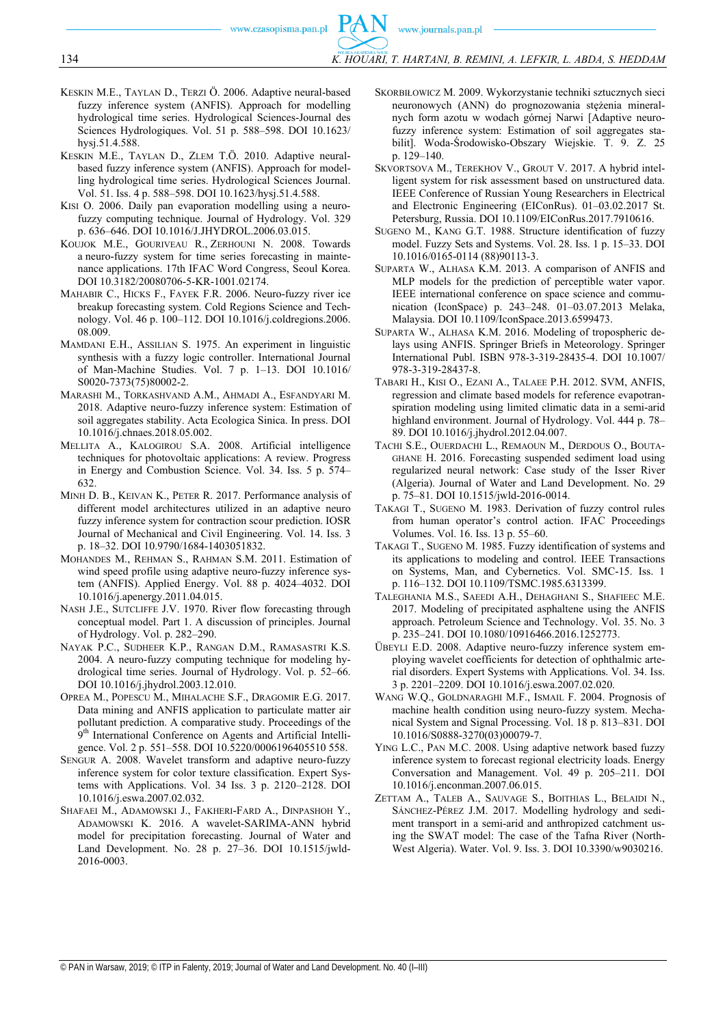- KESKIN M.E., TAYLAN D., TERZI Ö. 2006. Adaptive neural-based fuzzy inference system (ANFIS). Approach for modelling hydrological time series. Hydrological Sciences-Journal des Sciences Hydrologiques. Vol. 51 p. 588–598. DOI 10.1623/ hysj.51.4.588.
- KESKIN M.E., TAYLAN D., ZLEM T.Ö. 2010. Adaptive neuralbased fuzzy inference system (ANFIS). Approach for modelling hydrological time series. Hydrological Sciences Journal. Vol. 51. Iss. 4 p. 588–598. DOI 10.1623/hysj.51.4.588.
- KISI O. 2006. Daily pan evaporation modelling using a neurofuzzy computing technique. Journal of Hydrology. Vol. 329 p. 636–646. DOI 10.1016/J.JHYDROL.2006.03.015.
- KOUJOK M.E., GOURIVEAU R., ZERHOUNI N. 2008. Towards a neuro-fuzzy system for time series forecasting in maintenance applications. 17th IFAC Word Congress, Seoul Korea. DOI 10.3182/20080706-5-KR-1001.02174.
- MAHABIR C., HICKS F., FAYEK F.R. 2006. Neuro-fuzzy river ice breakup forecasting system. Cold Regions Science and Technology. Vol. 46 p. 100–112. DOI 10.1016/j.coldregions.2006. 08.009.
- MAMDANI E.H., ASSILIAN S. 1975. An experiment in linguistic synthesis with a fuzzy logic controller. International Journal of Man-Machine Studies. Vol. 7 p. 1–13. DOI 10.1016/ S0020-7373(75)80002-2.
- MARASHI M., TORKASHVAND A.M., AHMADI A., ESFANDYARI M. 2018. Adaptive neuro-fuzzy inference system: Estimation of soil aggregates stability. Acta Ecologica Sinica. In press. DOI 10.1016/j.chnaes.2018.05.002.
- MELLITA A., KALOGIROU S.A. 2008. Artificial intelligence techniques for photovoltaic applications: A review. Progress in Energy and Combustion Science. Vol. 34. Iss. 5 p. 574– 632.
- MINH D. B., KEIVAN K., PETER R. 2017. Performance analysis of different model architectures utilized in an adaptive neuro fuzzy inference system for contraction scour prediction. IOSR Journal of Mechanical and Civil Engineering. Vol. 14. Iss. 3 p. 18–32. DOI 10.9790/1684-1403051832.
- MOHANDES M., REHMAN S., RAHMAN S.M. 2011. Estimation of wind speed profile using adaptive neuro-fuzzy inference system (ANFIS). Applied Energy. Vol. 88 p. 4024–4032. DOI 10.1016/j.apenergy.2011.04.015.
- NASH J.E., SUTCLIFFE J.V. 1970. River flow forecasting through conceptual model. Part 1. A discussion of principles. Journal of Hydrology. Vol. p. 282–290.
- NAYAK P.C., SUDHEER K.P., RANGAN D.M., RAMASASTRI K.S. 2004. A neuro-fuzzy computing technique for modeling hydrological time series. Journal of Hydrology. Vol. p. 52–66. DOI 10.1016/j.jhydrol.2003.12.010.
- OPREA M., POPESCU M., MIHALACHE S.F., DRAGOMIR E.G. 2017. Data mining and ANFIS application to particulate matter air pollutant prediction. A comparative study. Proceedings of the 9<sup>th</sup> International Conference on Agents and Artificial Intelligence. Vol. 2 p. 551–558. DOI 10.5220/0006196405510 558.
- SENGUR A. 2008. Wavelet transform and adaptive neuro-fuzzy inference system for color texture classification. Expert Systems with Applications. Vol. 34 Iss. 3 p. 2120–2128. DOI 10.1016/j.eswa.2007.02.032.
- SHAFAEI M., ADAMOWSKI J., FAKHERI-FARD A., DINPASHOH Y., ADAMOWSKI K. 2016. A wavelet-SARIMA-ANN hybrid model for precipitation forecasting. Journal of Water and Land Development. No. 28 p. 27–36. DOI 10.1515/jwld-2016-0003.
- SKORBIŁOWICZ M. 2009. Wykorzystanie techniki sztucznych sieci neuronowych (ANN) do prognozowania stężenia mineralnych form azotu w wodach górnej Narwi [Adaptive neurofuzzy inference system: Estimation of soil aggregates stabilit]. Woda-Środowisko-Obszary Wiejskie. T. 9. Z. 25 p. 129–140.
- SKVORTSOVA M., TEREKHOV V., GROUT V. 2017. A hybrid intelligent system for risk assessment based on unstructured data. IEEE Conference of Russian Young Researchers in Electrical and Electronic Engineering (EIConRus). 01–03.02.2017 St. Petersburg, Russia. DOI 10.1109/EIConRus.2017.7910616.
- SUGENO M., KANG G.T. 1988. Structure identification of fuzzy model. Fuzzy Sets and Systems. Vol. 28. Iss. 1 p. 15–33. DOI 10.1016/0165-0114 (88)90113-3.
- SUPARTA W., ALHASA K.M. 2013. A comparison of ANFIS and MLP models for the prediction of perceptible water vapor. IEEE international conference on space science and communication (IconSpace) p. 243–248. 01–03.07.2013 Melaka, Malaysia. DOI 10.1109/IconSpace.2013.6599473.
- SUPARTA W., ALHASA K.M. 2016. Modeling of tropospheric delays using ANFIS. Springer Briefs in Meteorology. Springer International Publ. ISBN 978-3-319-28435-4. DOI 10.1007/ 978-3-319-28437-8.
- TABARI H., KISI O., EZANI A., TALAEE P.H. 2012. SVM, ANFIS, regression and climate based models for reference evapotranspiration modeling using limited climatic data in a semi-arid highland environment. Journal of Hydrology. Vol. 444 p. 78– 89. DOI 10.1016/j.jhydrol.2012.04.007.
- TACHI S.E., OUERDACHI L., REMAOUN M., DERDOUS O., BOUTA-GHANE H. 2016. Forecasting suspended sediment load using regularized neural network: Case study of the Isser River (Algeria). Journal of Water and Land Development. No. 29 p. 75–81. DOI 10.1515/jwld-2016-0014.
- TAKAGI T., SUGENO M. 1983. Derivation of fuzzy control rules from human operator's control action. IFAC Proceedings Volumes. Vol. 16. Iss. 13 p. 55–60.
- TAKAGI T., SUGENO M. 1985. Fuzzy identification of systems and its applications to modeling and control. IEEE Transactions on Systems, Man, and Cybernetics. Vol. SMC-15. Iss. 1 p. 116–132. DOI 10.1109/TSMC.1985.6313399.
- TALEGHANIA M.S., SAEEDI A.H., DEHAGHANI S., SHAFIEEC M.E. 2017. Modeling of precipitated asphaltene using the ANFIS approach. Petroleum Science and Technology. Vol. 35. No. 3 p. 235–241. DOI 10.1080/10916466.2016.1252773.
- ÜBEYLI E.D. 2008. Adaptive neuro-fuzzy inference system employing wavelet coefficients for detection of ophthalmic arterial disorders. Expert Systems with Applications. Vol. 34. Iss. 3 p. 2201–2209. DOI 10.1016/j.eswa.2007.02.020.
- WANG W.Q., GOLDNARAGHI M.F., ISMAIL F. 2004. Prognosis of machine health condition using neuro-fuzzy system. Mechanical System and Signal Processing. Vol. 18 p. 813–831. DOI 10.1016/S0888-3270(03)00079-7.
- YING L.C., PAN M.C. 2008. Using adaptive network based fuzzy inference system to forecast regional electricity loads. Energy Conversation and Management. Vol. 49 p. 205–211. DOI 10.1016/j.enconman.2007.06.015.
- ZETTAM A., TALEB A., SAUVAGE S., BOITHIAS L., BELAIDI N., SÁNCHEZ-PÉREZ J.M. 2017. Modelling hydrology and sediment transport in a semi-arid and anthropized catchment using the SWAT model: The case of the Tafna River (North-West Algeria). Water. Vol. 9. Iss. 3. DOI 10.3390/w9030216.